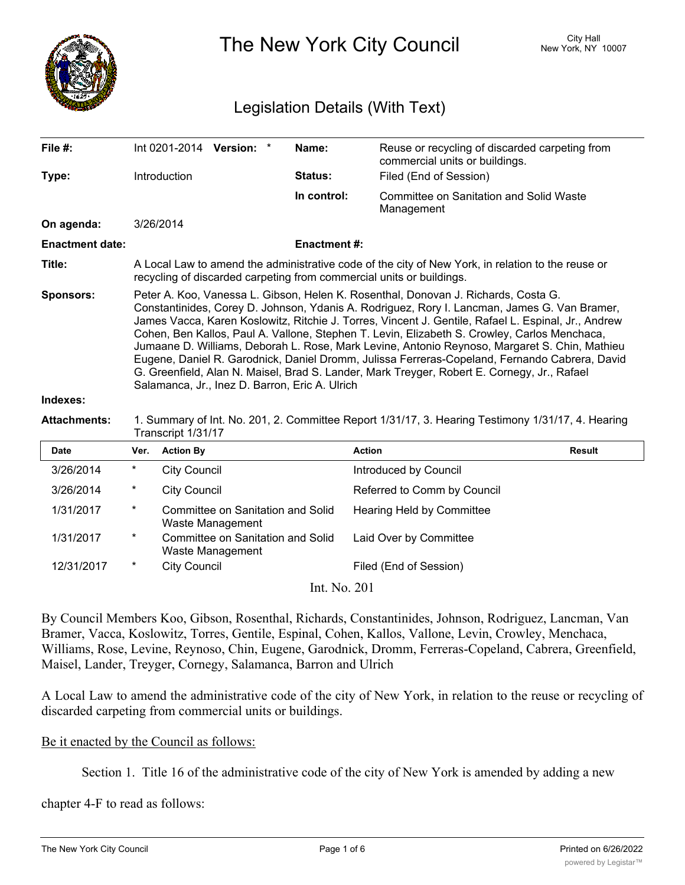

The New York City Council New York, NY 10007

## Legislation Details (With Text)

| File $#$ :             | Int 0201-2014 Version: *                                                                                                                                                                                                                                                                                                                                                                                                                                                                                                                                                                                                                                                                                                                     |  |  | Name:          | Reuse or recycling of discarded carpeting from<br>commercial units or buildings. |  |  |
|------------------------|----------------------------------------------------------------------------------------------------------------------------------------------------------------------------------------------------------------------------------------------------------------------------------------------------------------------------------------------------------------------------------------------------------------------------------------------------------------------------------------------------------------------------------------------------------------------------------------------------------------------------------------------------------------------------------------------------------------------------------------------|--|--|----------------|----------------------------------------------------------------------------------|--|--|
| Type:                  | <b>Introduction</b>                                                                                                                                                                                                                                                                                                                                                                                                                                                                                                                                                                                                                                                                                                                          |  |  | <b>Status:</b> | Filed (End of Session)                                                           |  |  |
|                        |                                                                                                                                                                                                                                                                                                                                                                                                                                                                                                                                                                                                                                                                                                                                              |  |  | In control:    | Committee on Sanitation and Solid Waste<br>Management                            |  |  |
| On agenda:             | 3/26/2014                                                                                                                                                                                                                                                                                                                                                                                                                                                                                                                                                                                                                                                                                                                                    |  |  |                |                                                                                  |  |  |
| <b>Enactment date:</b> | <b>Enactment #:</b>                                                                                                                                                                                                                                                                                                                                                                                                                                                                                                                                                                                                                                                                                                                          |  |  |                |                                                                                  |  |  |
| Title:                 | A Local Law to amend the administrative code of the city of New York, in relation to the reuse or<br>recycling of discarded carpeting from commercial units or buildings.                                                                                                                                                                                                                                                                                                                                                                                                                                                                                                                                                                    |  |  |                |                                                                                  |  |  |
| <b>Sponsors:</b>       | Peter A. Koo, Vanessa L. Gibson, Helen K. Rosenthal, Donovan J. Richards, Costa G.<br>Constantinides, Corey D. Johnson, Ydanis A. Rodriguez, Rory I. Lancman, James G. Van Bramer,<br>James Vacca, Karen Koslowitz, Ritchie J. Torres, Vincent J. Gentile, Rafael L. Espinal, Jr., Andrew<br>Cohen, Ben Kallos, Paul A. Vallone, Stephen T. Levin, Elizabeth S. Crowley, Carlos Menchaca,<br>Jumaane D. Williams, Deborah L. Rose, Mark Levine, Antonio Reynoso, Margaret S. Chin, Mathieu<br>Eugene, Daniel R. Garodnick, Daniel Dromm, Julissa Ferreras-Copeland, Fernando Cabrera, David<br>G. Greenfield, Alan N. Maisel, Brad S. Lander, Mark Treyger, Robert E. Cornegy, Jr., Rafael<br>Salamanca, Jr., Inez D. Barron, Eric A. Ulrich |  |  |                |                                                                                  |  |  |
| Indexes:               |                                                                                                                                                                                                                                                                                                                                                                                                                                                                                                                                                                                                                                                                                                                                              |  |  |                |                                                                                  |  |  |

**Attachments:** 1. Summary of Int. No. 201, 2. Committee Report 1/31/17, 3. Hearing Testimony 1/31/17, 4. Hearing Transcript 1/31/17

| <b>Date</b> | Ver.     | <b>Action By</b>                                      | <b>Action</b>                    | Result |
|-------------|----------|-------------------------------------------------------|----------------------------------|--------|
| 3/26/2014   | $\ast$   | <b>City Council</b>                                   | Introduced by Council            |        |
| 3/26/2014   | *        | <b>City Council</b>                                   | Referred to Comm by Council      |        |
| 1/31/2017   | $\ast$   | Committee on Sanitation and Solid<br>Waste Management | <b>Hearing Held by Committee</b> |        |
| 1/31/2017   | $^\star$ | Committee on Sanitation and Solid<br>Waste Management | Laid Over by Committee           |        |
| 12/31/2017  | $\ast$   | <b>City Council</b>                                   | Filed (End of Session)           |        |
|             |          | T AT                                                  | $\bigcap$ 1                      |        |

Int. No. 201

By Council Members Koo, Gibson, Rosenthal, Richards, Constantinides, Johnson, Rodriguez, Lancman, Van Bramer, Vacca, Koslowitz, Torres, Gentile, Espinal, Cohen, Kallos, Vallone, Levin, Crowley, Menchaca, Williams, Rose, Levine, Reynoso, Chin, Eugene, Garodnick, Dromm, Ferreras-Copeland, Cabrera, Greenfield, Maisel, Lander, Treyger, Cornegy, Salamanca, Barron and Ulrich

A Local Law to amend the administrative code of the city of New York, in relation to the reuse or recycling of discarded carpeting from commercial units or buildings.

## Be it enacted by the Council as follows:

Section 1. Title 16 of the administrative code of the city of New York is amended by adding a new

chapter 4-F to read as follows: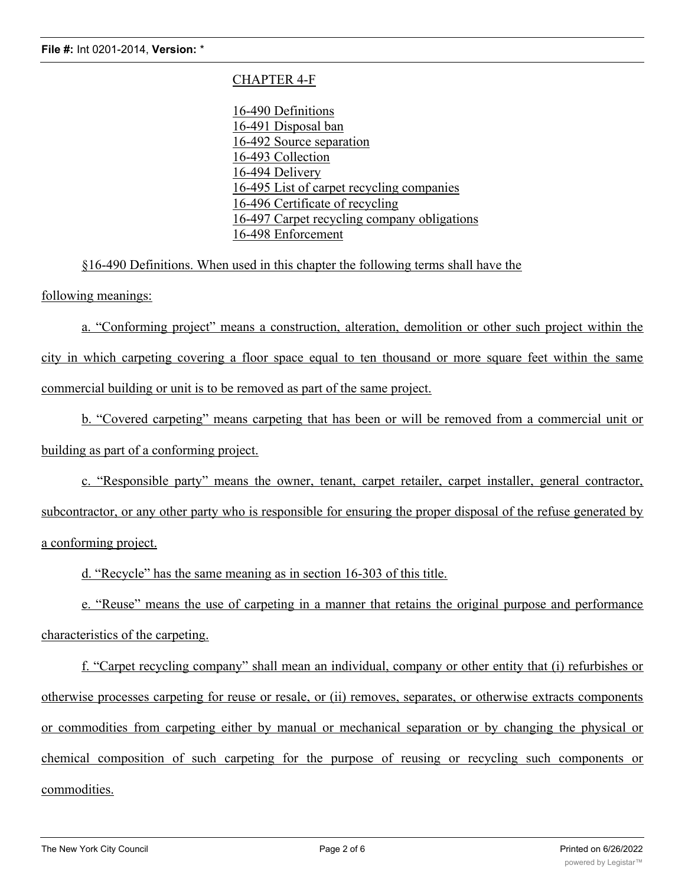## CHAPTER 4-F

16-490 Definitions 16-491 Disposal ban 16-492 Source separation 16-493 Collection 16-494 Delivery 16-495 List of carpet recycling companies 16-496 Certificate of recycling 16-497 Carpet recycling company obligations 16-498 Enforcement

§16-490 Definitions. When used in this chapter the following terms shall have the

following meanings:

a. "Conforming project" means a construction, alteration, demolition or other such project within the city in which carpeting covering a floor space equal to ten thousand or more square feet within the same commercial building or unit is to be removed as part of the same project.

b. "Covered carpeting" means carpeting that has been or will be removed from a commercial unit or building as part of a conforming project.

c. "Responsible party" means the owner, tenant, carpet retailer, carpet installer, general contractor, subcontractor, or any other party who is responsible for ensuring the proper disposal of the refuse generated by a conforming project.

d. "Recycle" has the same meaning as in section 16-303 of this title.

e. "Reuse" means the use of carpeting in a manner that retains the original purpose and performance characteristics of the carpeting.

f. "Carpet recycling company" shall mean an individual, company or other entity that (i) refurbishes or otherwise processes carpeting for reuse or resale, or (ii) removes, separates, or otherwise extracts components or commodities from carpeting either by manual or mechanical separation or by changing the physical or chemical composition of such carpeting for the purpose of reusing or recycling such components or commodities.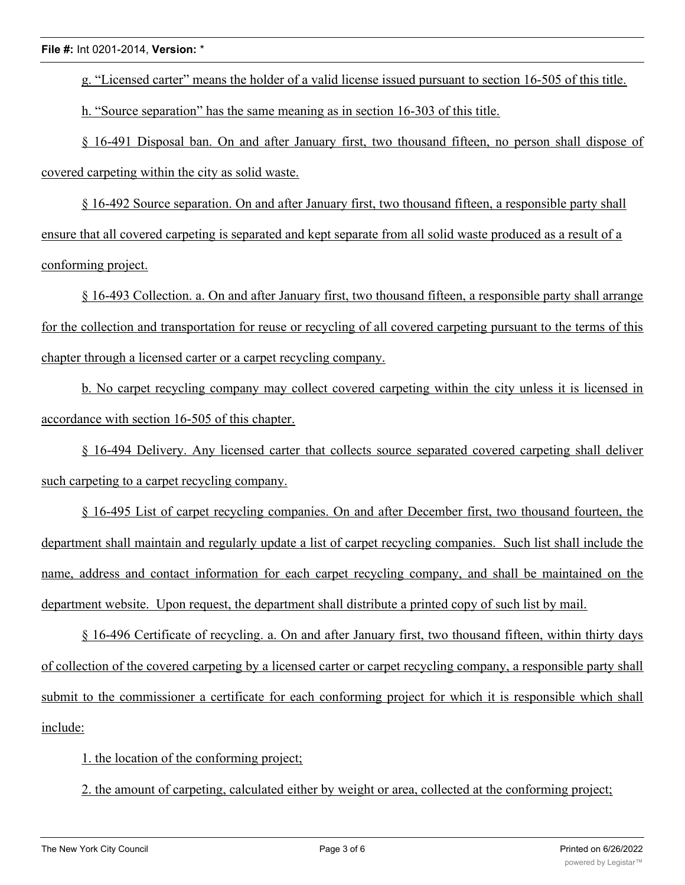g. "Licensed carter" means the holder of a valid license issued pursuant to section 16-505 of this title.

h. "Source separation" has the same meaning as in section 16-303 of this title.

§ 16-491 Disposal ban. On and after January first, two thousand fifteen, no person shall dispose of covered carpeting within the city as solid waste.

§ 16-492 Source separation. On and after January first, two thousand fifteen, a responsible party shall ensure that all covered carpeting is separated and kept separate from all solid waste produced as a result of a conforming project.

§ 16-493 Collection. a. On and after January first, two thousand fifteen, a responsible party shall arrange for the collection and transportation for reuse or recycling of all covered carpeting pursuant to the terms of this chapter through a licensed carter or a carpet recycling company.

b. No carpet recycling company may collect covered carpeting within the city unless it is licensed in accordance with section 16-505 of this chapter.

§ 16-494 Delivery. Any licensed carter that collects source separated covered carpeting shall deliver such carpeting to a carpet recycling company.

§ 16-495 List of carpet recycling companies. On and after December first, two thousand fourteen, the department shall maintain and regularly update a list of carpet recycling companies. Such list shall include the name, address and contact information for each carpet recycling company, and shall be maintained on the department website. Upon request, the department shall distribute a printed copy of such list by mail.

§ 16-496 Certificate of recycling. a. On and after January first, two thousand fifteen, within thirty days of collection of the covered carpeting by a licensed carter or carpet recycling company, a responsible party shall submit to the commissioner a certificate for each conforming project for which it is responsible which shall include:

1. the location of the conforming project;

2. the amount of carpeting, calculated either by weight or area, collected at the conforming project;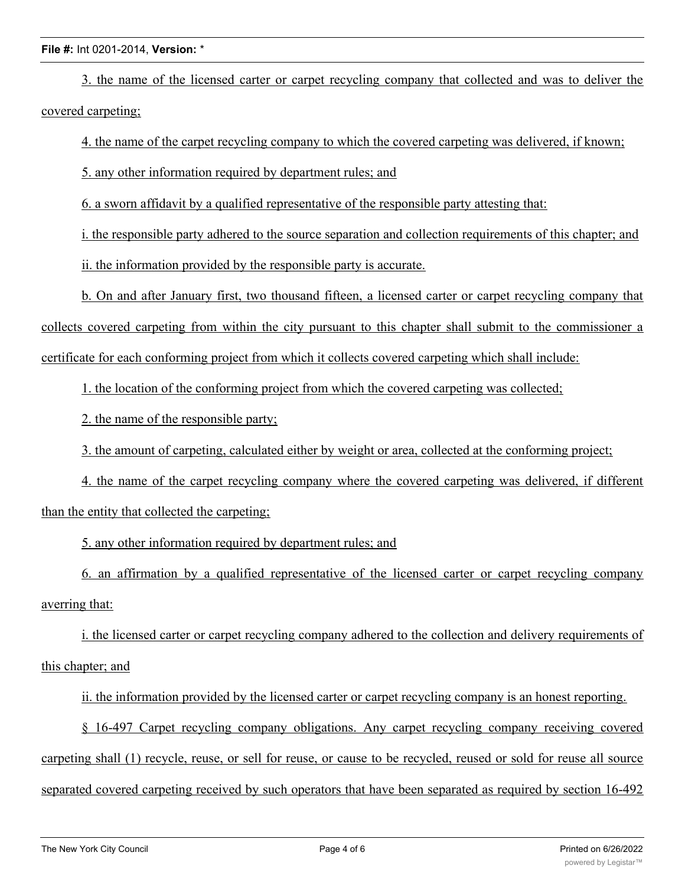## **File #:** Int 0201-2014, **Version:** \*

3. the name of the licensed carter or carpet recycling company that collected and was to deliver the covered carpeting;

4. the name of the carpet recycling company to which the covered carpeting was delivered, if known;

5. any other information required by department rules; and

6. a sworn affidavit by a qualified representative of the responsible party attesting that:

i. the responsible party adhered to the source separation and collection requirements of this chapter; and

ii. the information provided by the responsible party is accurate.

b. On and after January first, two thousand fifteen, a licensed carter or carpet recycling company that collects covered carpeting from within the city pursuant to this chapter shall submit to the commissioner a certificate for each conforming project from which it collects covered carpeting which shall include:

1. the location of the conforming project from which the covered carpeting was collected;

2. the name of the responsible party;

3. the amount of carpeting, calculated either by weight or area, collected at the conforming project;

4. the name of the carpet recycling company where the covered carpeting was delivered, if different than the entity that collected the carpeting;

5. any other information required by department rules; and

6. an affirmation by a qualified representative of the licensed carter or carpet recycling company averring that:

i. the licensed carter or carpet recycling company adhered to the collection and delivery requirements of this chapter; and

ii. the information provided by the licensed carter or carpet recycling company is an honest reporting.

§ 16-497 Carpet recycling company obligations. Any carpet recycling company receiving covered carpeting shall (1) recycle, reuse, or sell for reuse, or cause to be recycled, reused or sold for reuse all source separated covered carpeting received by such operators that have been separated as required by section 16-492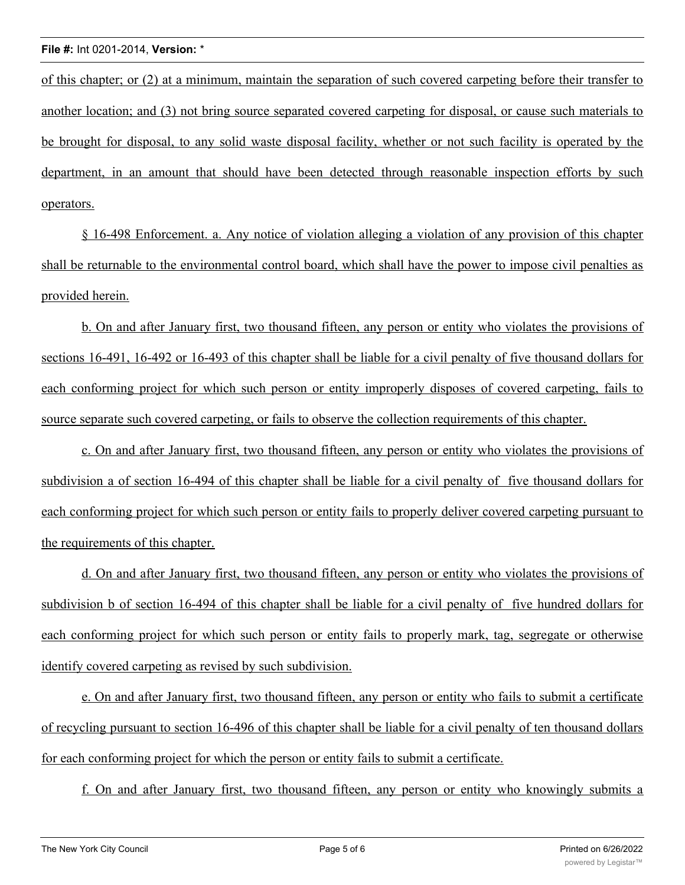of this chapter; or (2) at a minimum, maintain the separation of such covered carpeting before their transfer to another location; and (3) not bring source separated covered carpeting for disposal, or cause such materials to be brought for disposal, to any solid waste disposal facility, whether or not such facility is operated by the department, in an amount that should have been detected through reasonable inspection efforts by such operators.

§ 16-498 Enforcement. a. Any notice of violation alleging a violation of any provision of this chapter shall be returnable to the environmental control board, which shall have the power to impose civil penalties as provided herein.

b. On and after January first, two thousand fifteen, any person or entity who violates the provisions of sections 16-491, 16-492 or 16-493 of this chapter shall be liable for a civil penalty of five thousand dollars for each conforming project for which such person or entity improperly disposes of covered carpeting, fails to source separate such covered carpeting, or fails to observe the collection requirements of this chapter.

c. On and after January first, two thousand fifteen, any person or entity who violates the provisions of subdivision a of section 16-494 of this chapter shall be liable for a civil penalty of five thousand dollars for each conforming project for which such person or entity fails to properly deliver covered carpeting pursuant to the requirements of this chapter.

d. On and after January first, two thousand fifteen, any person or entity who violates the provisions of subdivision b of section 16-494 of this chapter shall be liable for a civil penalty of five hundred dollars for each conforming project for which such person or entity fails to properly mark, tag, segregate or otherwise identify covered carpeting as revised by such subdivision.

e. On and after January first, two thousand fifteen, any person or entity who fails to submit a certificate of recycling pursuant to section 16-496 of this chapter shall be liable for a civil penalty of ten thousand dollars for each conforming project for which the person or entity fails to submit a certificate.

f. On and after January first, two thousand fifteen, any person or entity who knowingly submits a